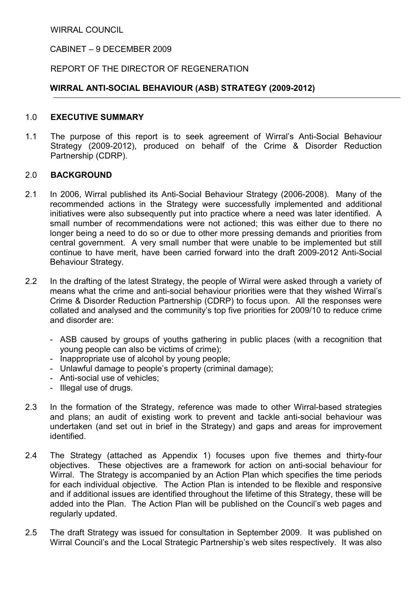WIRRAL COUNCIL

### CABINET – 9 DECEMBER 2009

#### REPORT OF THE DIRECTOR OF REGENERATION

### WIRRAL ANTI-SOCIAL BEHAVIOUR (ASB) STRATEGY (2009-2012)

#### 1.0 EXECUTIVE SUMMARY

1.1 The purpose of this report is to seek agreement of Wirral's Anti-Social Behaviour Strategy (2009-2012), produced on behalf of the Crime & Disorder Reduction Partnership (CDRP).

### 2.0 BACKGROUND

- 2.1 In 2006, Wirral published its Anti-Social Behaviour Strategy (2006-2008). Many of the recommended actions in the Strategy were successfully implemented and additional initiatives were also subsequently put into practice where a need was later identified. A small number of recommendations were not actioned; this was either due to there no longer being a need to do so or due to other more pressing demands and priorities from central government. A very small number that were unable to be implemented but still continue to have merit, have been carried forward into the draft 2009-2012 Anti-Social Behaviour Strategy.
- 2.2 In the drafting of the latest Strategy, the people of Wirral were asked through a variety of means what the crime and anti-social behaviour priorities were that they wished Wirral's Crime & Disorder Reduction Partnership (CDRP) to focus upon. All the responses were collated and analysed and the community's top five priorities for 2009/10 to reduce crime and disorder are:
	- ASB caused by groups of youths gathering in public places (with a recognition that young people can also be victims of crime);
	- Inappropriate use of alcohol by young people;
	- Unlawful damage to people's property (criminal damage);
	- Anti-social use of vehicles;
	- Illegal use of drugs.
- 2.3 In the formation of the Strategy, reference was made to other Wirral-based strategies and plans; an audit of existing work to prevent and tackle anti-social behaviour was undertaken (and set out in brief in the Strategy) and gaps and areas for improvement identified.
- 2.4 The Strategy (attached as Appendix 1) focuses upon five themes and thirty-four objectives. These objectives are a framework for action on anti-social behaviour for Wirral. The Strategy is accompanied by an Action Plan which specifies the time periods for each individual objective. The Action Plan is intended to be flexible and responsive and if additional issues are identified throughout the lifetime of this Strategy, these will be added into the Plan. The Action Plan will be published on the Council's web pages and regularly updated.
- 2.5 The draft Strategy was issued for consultation in September 2009. It was published on Wirral Council's and the Local Strategic Partnership's web sites respectively. It was also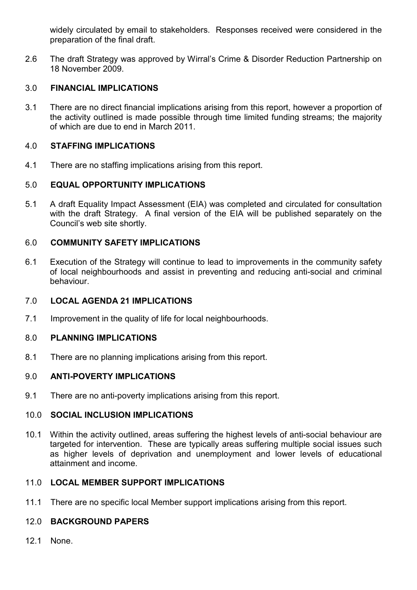widely circulated by email to stakeholders. Responses received were considered in the preparation of the final draft.

2.6 The draft Strategy was approved by Wirral's Crime & Disorder Reduction Partnership on 18 November 2009.

## 3.0 FINANCIAL IMPLICATIONS

3.1 There are no direct financial implications arising from this report, however a proportion of the activity outlined is made possible through time limited funding streams; the majority of which are due to end in March 2011.

## 4.0 STAFFING IMPLICATIONS

4.1 There are no staffing implications arising from this report.

## 5.0 EQUAL OPPORTUNITY IMPLICATIONS

5.1 A draft Equality Impact Assessment (EIA) was completed and circulated for consultation with the draft Strategy. A final version of the EIA will be published separately on the Council's web site shortly.

## 6.0 COMMUNITY SAFETY IMPLICATIONS

6.1 Execution of the Strategy will continue to lead to improvements in the community safety of local neighbourhoods and assist in preventing and reducing anti-social and criminal behaviour.

### 7.0 LOCAL AGENDA 21 IMPLICATIONS

7.1 Improvement in the quality of life for local neighbourhoods.

## 8.0 PLANNING IMPLICATIONS

8.1 There are no planning implications arising from this report.

## 9.0 ANTI-POVERTY IMPLICATIONS

9.1 There are no anti-poverty implications arising from this report.

### 10.0 SOCIAL INCLUSION IMPLICATIONS

10.1 Within the activity outlined, areas suffering the highest levels of anti-social behaviour are targeted for intervention. These are typically areas suffering multiple social issues such as higher levels of deprivation and unemployment and lower levels of educational attainment and income.

## 11.0 LOCAL MEMBER SUPPORT IMPLICATIONS

11.1 There are no specific local Member support implications arising from this report.

## 12.0 BACKGROUND PAPERS

12.1 None.